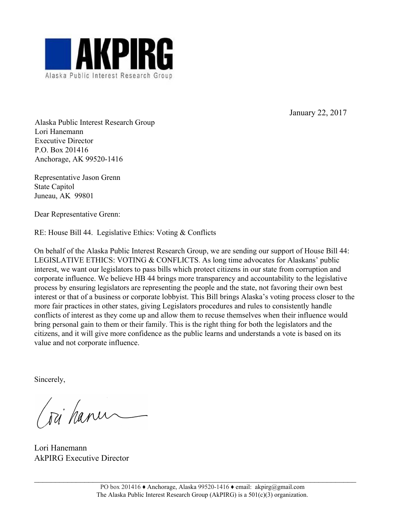

January 22, 2017

Alaska Public Interest Research Group Lori Hanemann Executive Director P.O. Box 201416 Anchorage, AK 99520-1416

Representative Jason Grenn State Capitol Juneau, AK 99801

Dear Representative Grenn:

RE: House Bill 44. Legislative Ethics: Voting & Conflicts

On behalf of the Alaska Public Interest Research Group, we are sending our support of House Bill 44: LEGISLATIVE ETHICS: VOTING & CONFLICTS. As long time advocates for Alaskans' public interest, we want our legislators to pass bills which protect citizens in our state from corruption and corporate influence. We believe HB 44 brings more transparency and accountability to the legislative process by ensuring legislators are representing the people and the state, not favoring their own best interest or that of a business or corporate lobbyist. This Bill brings Alaska's voting process closer to the more fair practices in other states, giving Legislators procedures and rules to consistently handle conflicts of interest as they come up and allow them to recuse themselves when their influence would bring personal gain to them or their family. This is the right thing for both the legislators and the citizens, and it will give more confidence as the public learns and understands a vote is based on its value and not corporate influence.

Sincerely,

(sci hanu

Lori Hanemann AkPIRG Executive Director